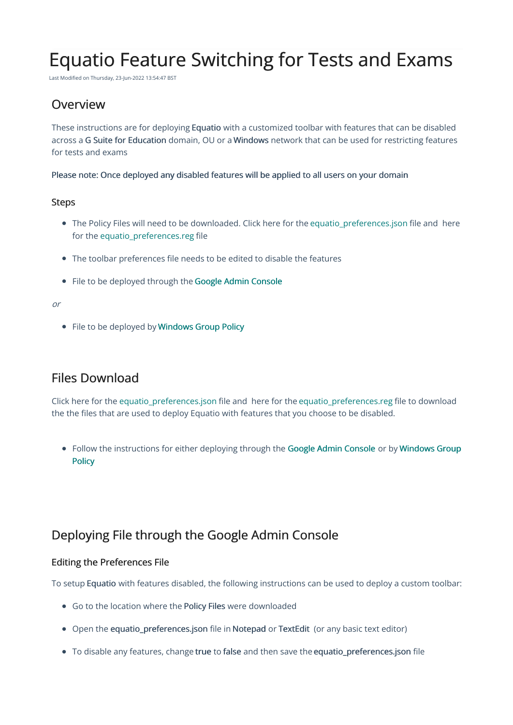# Equatio Feature Switching for Tests and Exams

Last Modified on Thursday, 23-Jun-2022 13:54:47 BST

### **Overview**

These instructions are for deploying Equatio with a customized toolbar with features that can be disabled across a G Suite for Education domain, OU or a Windows network that can be used for restricting features for tests and exams

Please note: Once deployed any disabled features will be applied to all users on your domain

#### Steps

- The Policy Files will need to be downloaded. Click here for the [equatio\\_preferences.json](https://fastdownloads2.texthelp.com/equatio/policies/equatio_preferences.json) file and here for the [equatio\\_preferences.reg](https://fastdownloads2.texthelp.com/equatio/policies/equatio_preferences.reg) file
- The toolbar preferences file needs to be edited to disable the features
- File to be deployed through the Google Admin [Console](https://support.texthelp.com/help/equatio-feature-switching-for-tests-and-exams#Deploying%20File%20through%20the%20Google%20Admin%20Console)

#### or

• File to be deployed by [Windows](http://support.texthelp.com/help/equatio-feature-switching-for-tests-and-exams#Deploying%20File%20via%20Group%20Policy) Group Policy

### Files Download

Click here for the [equatio\\_preferences.json](https://fastdownloads2.texthelp.com/equatio/policies/equatio_preferences.json) file and here for the [equatio\\_preferences.reg](https://fastdownloads2.texthelp.com/equatio/policies/equatio_preferences.reg) file to download the the files that are used to deploy Equatio with features that you choose to be disabled.

• Follow the [instructions](http://support.texthelp.com/help/equatio-feature-switching-for-tests-and-exams#Deploying%20File%20via%20Group%20Policy) for either deploying through the Google Admin [Console](https://support.texthelp.com/help/equatio-feature-switching-for-tests-and-exams#Deploying%20File%20through%20the%20Google%20Admin%20Console) or by Windows Group **Policy** 

## Deploying File through the Google Admin Console

#### Editing the Preferences File

To setup Equatio with features disabled, the following instructions can be used to deploy a custom toolbar:

- Go to the location where the Policy Files were downloaded
- Open the equatio\_preferences.json file in Notepad or TextEdit (or any basic text editor)
- To disable any features, change true to false and then save the equatio preferences.json file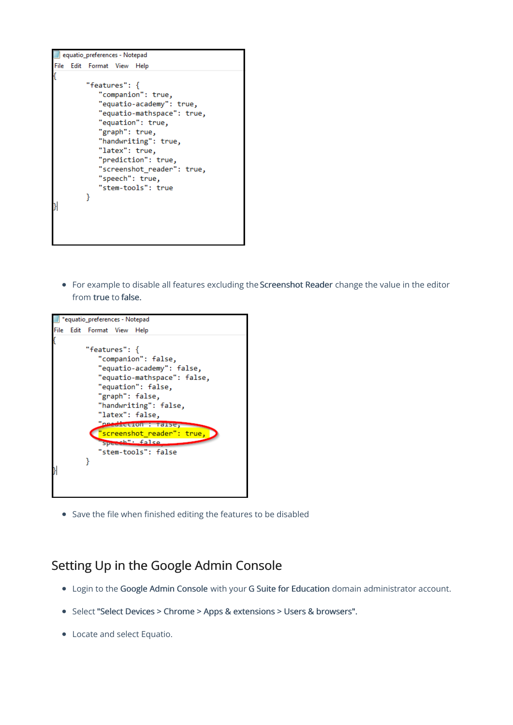

• For example to disable all features excluding the Screenshot Reader change the value in the editor from true to false.



Save the file when finished editing the features to be disabled

### Setting Up in the Google Admin Console

- Login to the Google Admin Console with your G Suite for Education domain administrator account.
- Select "Select Devices > Chrome > Apps & extensions > Users & browsers".
- Locate and select Equatio.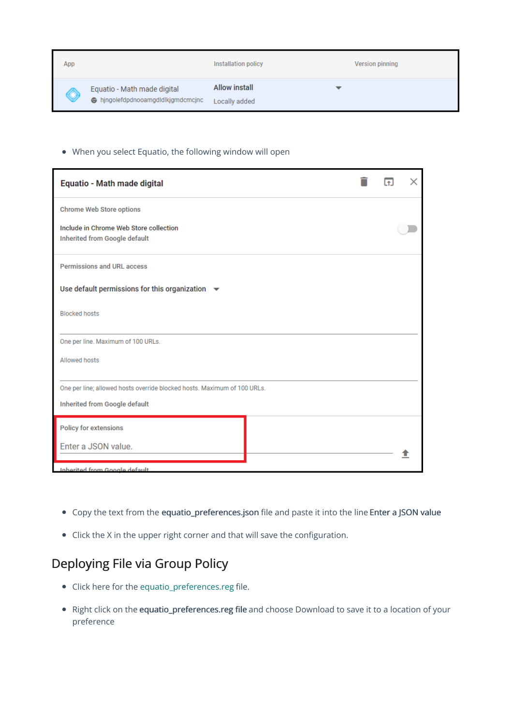| App          |                                                                 | Installation policy                   | Version pinning |
|--------------|-----------------------------------------------------------------|---------------------------------------|-----------------|
| $\heartsuit$ | Equatio - Math made digital<br>hingolefdpdnooamgdldlkjgmdcmcjnc | <b>Allow install</b><br>Locally added |                 |

#### When you select Equatio, the following window will open

| Equatio - Math made digital                                               |  | $\uparrow$ |  |  |  |
|---------------------------------------------------------------------------|--|------------|--|--|--|
| <b>Chrome Web Store options</b>                                           |  |            |  |  |  |
| Include in Chrome Web Store collection<br>Inherited from Google default   |  |            |  |  |  |
| Permissions and URL access                                                |  |            |  |  |  |
| Use default permissions for this organization $\quadblacktriangleright\,$ |  |            |  |  |  |
| <b>Blocked hosts</b>                                                      |  |            |  |  |  |
| One per line. Maximum of 100 URLs.                                        |  |            |  |  |  |
| <b>Allowed hosts</b>                                                      |  |            |  |  |  |
| One per line; allowed hosts override blocked hosts. Maximum of 100 URLs.  |  |            |  |  |  |
| Inherited from Google default                                             |  |            |  |  |  |
| <b>Policy for extensions</b>                                              |  |            |  |  |  |
| Enter a JSON value.                                                       |  |            |  |  |  |
| Inherited from Google default                                             |  |            |  |  |  |

- Copy the text from the equatio\_preferences.json file and paste it into the line Enter a JSON value
- Click the X in the upper right corner and that will save the configuration.

# Deploying File via Group Policy

- Click here for the [equatio\\_preferences.reg](https://fastdownloads2.texthelp.com/equatio/policies/equatio_preferences.reg) file.
- Right click on the equatio\_preferences.reg file and choose Download to save it to a location of your preference